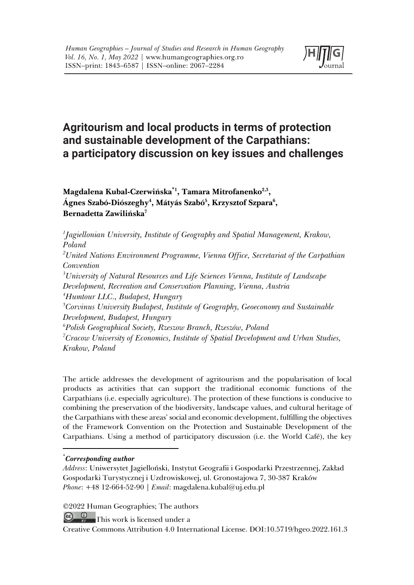

# **Agritourism and local products in terms of protection and sustainable development of the Carpathians: a participatory discussion on key issues and challenges**

**Magdalena Kubal-Czerwińska\*1 , Tamara Mitrofanenko2,3,**  Ágnes Szabó-Diószeghy<sup>4</sup>, Mátyás Szabó<sup>5</sup>, Krzysztof Szpara<sup>6</sup>, **Bernadetta Zawilińska7**

*1 Jagiellonian University, Institute of Geography and Spatial Management, Krakow, Poland 2 United Nations Environment Programme, Vienna Office, Secretariat of the Carpathian Convention 3 University of Natural Resources and Life Sciences Vienna, Institute of Landscape Development, Recreation and Conservation Planning, Vienna, Austria 4 Humtour LLC., Budapest, Hungary 5 Corvinus University Budapest, Institute of Geography, Geoeconomy and Sustainable Development, Budapest, Hungary 6 Polish Geographical Society, Rzeszow Branch, Rzeszów, Poland 7 Cracow University of Economics, Institute of Spatial Development and Urban Studies, Krakow, Poland*

The article addresses the development of agritourism and the popularisation of local products as activities that can support the traditional economic functions of the Carpathians (i.e. especially agriculture). The protection of these functions is conducive to combining the preservation of the biodiversity, landscape values, and cultural heritage of the Carpathians with these areas' social and economic development, fulfilling the objectives of the Framework Convention on the Protection and Sustainable Development of the Carpathians. Using a method of participatory discussion (i.e. the World Café), the key

### \* *Corresponding author*

*Address*: Uniwersytet Jagielloński, Instytut Geografii i Gospodarki Przestrzennej, Zakład Gospodarki Turystycznej i Uzdrowiskowej, ul. Gronostajowa 7, 30-387 Kraków *Phone*: +48 12-664-52-90 | *Email*: magdalena.kubal@uj.edu.pl

©2022 Human Geographies; The authors

<u>@ 0</u> This work is licensed under a

Creative Commons Attribution 4.0 International License. DOI:10.5719/hgeo.2022.161.3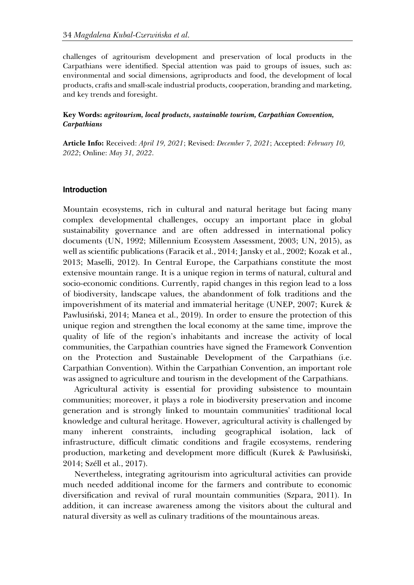challenges of agritourism development and preservation of local products in the Carpathians were identified. Special attention was paid to groups of issues, such as: environmental and social dimensions, agriproducts and food, the development of local products, crafts and small-scale industrial products, cooperation, branding and marketing, and key trends and foresight.

#### **Key Words:** *agritourism, local products, sustainable tourism, Carpathian Convention, Carpathians*

**Article Info:** Received: *April 19, 2021*; Revised: *December 7, 2021*; Accepted: *February 10, 2022*; Online: *May 31, 2022*.

#### **Introduction**

Mountain ecosystems, rich in cultural and natural heritage but facing many complex developmental challenges, occupy an important place in global sustainability governance and are often addressed in international policy documents (UN, 1992; Millennium Ecosystem Assessment, 2003; UN, 2015), as well as scientific publications (Faracik et al., 2014; Jansky et al., 2002; Kozak et al., 2013; Maselli, 2012). In Central Europe, the Carpathians constitute the most extensive mountain range. It is a unique region in terms of natural, cultural and socio-economic conditions. Currently, rapid changes in this region lead to a loss of biodiversity, landscape values, the abandonment of folk traditions and the impoverishment of its material and immaterial heritage (UNEP, 2007; Kurek & Pawlusiński, 2014; Manea et al., 2019). In order to ensure the protection of this unique region and strengthen the local economy at the same time, improve the quality of life of the region's inhabitants and increase the activity of local communities, the Carpathian countries have signed the Framework Convention on the Protection and Sustainable Development of the Carpathians (i.e. Carpathian Convention). Within the Carpathian Convention, an important role was assigned to agriculture and tourism in the development of the Carpathians.

Agricultural activity is essential for providing subsistence to mountain communities; moreover, it plays a role in biodiversity preservation and income generation and is strongly linked to mountain communities' traditional local knowledge and cultural heritage. However, agricultural activity is challenged by many inherent constraints, including geographical isolation, lack of infrastructure, difficult climatic conditions and fragile ecosystems, rendering production, marketing and development more difficult (Kurek & Pawlusiński, 2014; Széll et al., 2017).

Nevertheless, integrating agritourism into agricultural activities can provide much needed additional income for the farmers and contribute to economic diversification and revival of rural mountain communities (Szpara, 2011). In addition, it can increase awareness among the visitors about the cultural and natural diversity as well as culinary traditions of the mountainous areas.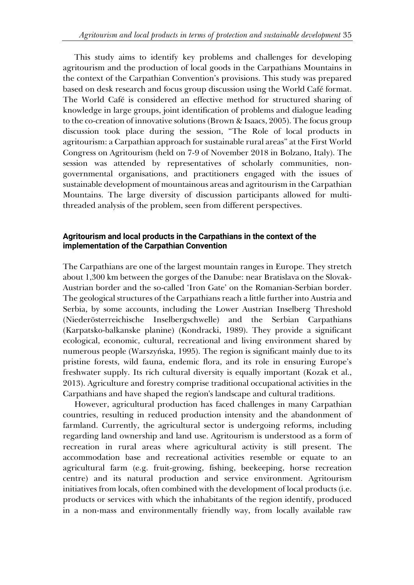This study aims to identify key problems and challenges for developing agritourism and the production of local goods in the Carpathians Mountains in the context of the Carpathian Convention's provisions. This study was prepared based on desk research and focus group discussion using the World Café format. The World Café is considered an effective method for structured sharing of knowledge in large groups, joint identification of problems and dialogue leading to the co-creation of innovative solutions (Brown & Isaacs, 2005). The focus group discussion took place during the session, "The Role of local products in agritourism: a Carpathian approach for sustainable rural areas" at the First World Congress on Agritourism (held on 7-9 of November 2018 in Bolzano, Italy). The session was attended by representatives of scholarly communities, nongovernmental organisations, and practitioners engaged with the issues of sustainable development of mountainous areas and agritourism in the Carpathian Mountains. The large diversity of discussion participants allowed for multithreaded analysis of the problem, seen from different perspectives.

# **Agritourism and local products in the Carpathians in the context of the implementation of the Carpathian Convention**

The Carpathians are one of the largest mountain ranges in Europe. They stretch about 1,300 km between the gorges of the Danube: near Bratislava on the Slovak-Austrian border and the so-called 'Iron Gate' on the Romanian-Serbian border. The geological structures of the Carpathians reach a little further into Austria and Serbia, by some accounts, including the Lower Austrian Inselberg Threshold (Niederösterreichische Inselbergschwelle) and the Serbian Carpathians (Karpatsko-balkanske planine) (Kondracki, 1989). They provide a significant ecological, economic, cultural, recreational and living environment shared by numerous people (Warszyńska, 1995). The region is significant mainly due to its pristine forests, wild fauna, endemic flora, and its role in ensuring Europe's freshwater supply. Its rich cultural diversity is equally important (Kozak et al., 2013). Agriculture and forestry comprise traditional occupational activities in the Carpathians and have shaped the region's landscape and cultural traditions.

However, agricultural production has faced challenges in many Carpathian countries, resulting in reduced production intensity and the abandonment of farmland. Currently, the agricultural sector is undergoing reforms, including regarding land ownership and land use. Agritourism is understood as a form of recreation in rural areas where agricultural activity is still present. The accommodation base and recreational activities resemble or equate to an agricultural farm (e.g. fruit-growing, fishing, beekeeping, horse recreation centre) and its natural production and service environment. Agritourism initiatives from locals, often combined with the development of local products (i.e. products or services with which the inhabitants of the region identify, produced in a non-mass and environmentally friendly way, from locally available raw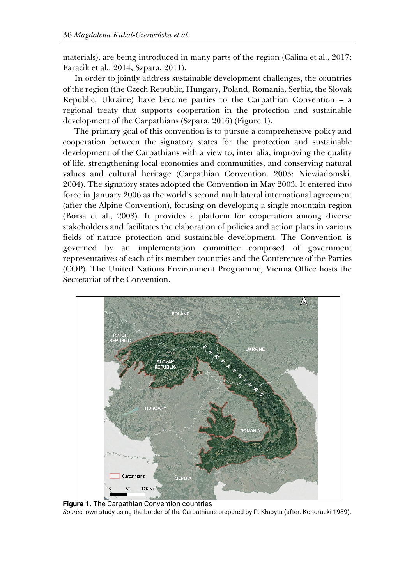materials), are being introduced in many parts of the region (Călina et al., 2017; Faracik et al., 2014; Szpara, 2011).

In order to jointly address sustainable development challenges, the countries of the region (the Czech Republic, Hungary, Poland, Romania, Serbia, the Slovak Republic, Ukraine) have become parties to the Carpathian Convention – a regional treaty that supports cooperation in the protection and sustainable development of the Carpathians (Szpara, 2016) (Figure 1).

The primary goal of this convention is to pursue a comprehensive policy and cooperation between the signatory states for the protection and sustainable development of the Carpathians with a view to, inter alia, improving the quality of life, strengthening local economies and communities, and conserving natural values and cultural heritage (Carpathian Convention, 2003; Niewiadomski, 2004). The signatory states adopted the Convention in May 2003. It entered into force in January 2006 as the world's second multilateral international agreement (after the Alpine Convention), focusing on developing a single mountain region (Borsa et al., 2008). It provides a platform for cooperation among diverse stakeholders and facilitates the elaboration of policies and action plans in various fields of nature protection and sustainable development. The Convention is governed by an implementation committee composed of government representatives of each of its member countries and the Conference of the Parties (COP). The United Nations Environment Programme, Vienna Office hosts the Secretariat of the Convention.



**Figure 1.** The Carpathian Convention countries *Source*: own study using the border of the Carpathians prepared by P. Kłapyta (after: Kondracki 1989).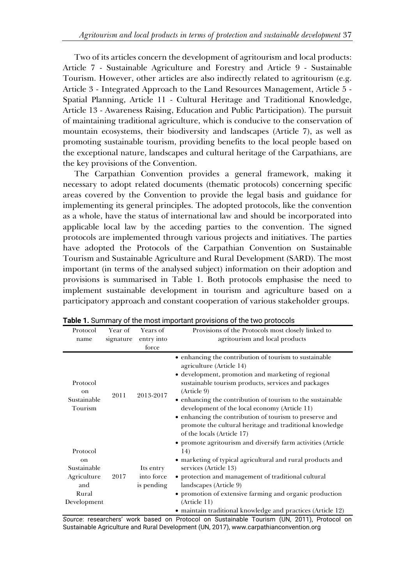Two of its articles concern the development of agritourism and local products: Article 7 - Sustainable Agriculture and Forestry and Article 9 - Sustainable Tourism. However, other articles are also indirectly related to agritourism (e.g. Article 3 - Integrated Approach to the Land Resources Management, Article 5 - Spatial Planning, Article 11 - Cultural Heritage and Traditional Knowledge, Article 13 - Awareness Raising, Education and Public Participation). The pursuit of maintaining traditional agriculture, which is conducive to the conservation of mountain ecosystems, their biodiversity and landscapes (Article 7), as well as promoting sustainable tourism, providing benefits to the local people based on the exceptional nature, landscapes and cultural heritage of the Carpathians, are the key provisions of the Convention.

The Carpathian Convention provides a general framework, making it necessary to adopt related documents (thematic protocols) concerning specific areas covered by the Convention to provide the legal basis and guidance for implementing its general principles. The adopted protocols, like the convention as a whole, have the status of international law and should be incorporated into applicable local law by the acceding parties to the convention. The signed protocols are implemented through various projects and initiatives. The parties have adopted the Protocols of the Carpathian Convention on Sustainable Tourism and Sustainable Agriculture and Rural Development (SARD). The most important (in terms of the analysed subject) information on their adoption and provisions is summarised in Table 1. Both protocols emphasise the need to implement sustainable development in tourism and agriculture based on a participatory approach and constant cooperation of various stakeholder groups.

| Protocol<br>name                                                                       | Year of<br>signature | Years of<br>entry into<br>force       | Provisions of the Protocols most closely linked to<br>agritourism and local products                                                                                                                                                                                                                                                                                                                                                                                              |
|----------------------------------------------------------------------------------------|----------------------|---------------------------------------|-----------------------------------------------------------------------------------------------------------------------------------------------------------------------------------------------------------------------------------------------------------------------------------------------------------------------------------------------------------------------------------------------------------------------------------------------------------------------------------|
| Protocol<br>on<br>Sustainable<br>Tourism                                               | 2011                 | 2013-2017                             | • enhancing the contribution of tourism to sustainable<br>agriculture (Article 14)<br>• development, promotion and marketing of regional<br>sustainable tourism products, services and packages<br>(Article 9)<br>• enhancing the contribution of tourism to the sustainable<br>development of the local economy (Article 11)<br>• enhancing the contribution of tourism to preserve and<br>promote the cultural heritage and traditional knowledge<br>of the locals (Article 17) |
| Protocol<br><sub>on</sub><br>Sustainable<br>Agriculture<br>and<br>Rural<br>Development | 2017                 | Its entry<br>into force<br>is pending | • promote agritourism and diversify farm activities (Article<br>14)<br>• marketing of typical agricultural and rural products and<br>services (Article 13)<br>• protection and management of traditional cultural<br>landscapes (Article 9)<br>• promotion of extensive farming and organic production<br>(Article 11)<br>• maintain traditional knowledge and practices (Article 12)                                                                                             |

**Table 1.** Summary of the most important provisions of the two protocols

*Source*: researchers' work based on Protocol on Sustainable Tourism (UN, 2011), Protocol on Sustainable Agriculture and Rural Development (UN, 2017), www.carpathianconvention.org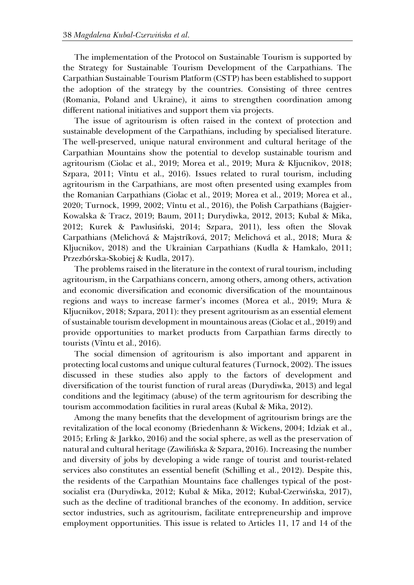The implementation of the Protocol on Sustainable Tourism is supported by the Strategy for Sustainable Tourism Development of the Carpathians. The Carpathian Sustainable Tourism Platform (CSTP) has been established to support the adoption of the strategy by the countries. Consisting of three centres (Romania, Poland and Ukraine), it aims to strengthen coordination among different national initiatives and support them via projects.

The issue of agritourism is often raised in the context of protection and sustainable development of the Carpathians, including by specialised literature. The well-preserved, unique natural environment and cultural heritage of the Carpathian Mountains show the potential to develop sustainable tourism and agritourism (Ciolac et al., 2019; Morea et al., 2019; Mura & Kljucnikov, 2018; Szpara, 2011; Vîntu et al., 2016). Issues related to rural tourism, including agritourism in the Carpathians, are most often presented using examples from the Romanian Carpathians (Ciolac et al., 2019; Morea et al., 2019; Morea et al., 2020; Turnock, 1999, 2002; Vîntu et al., 2016), the Polish Carpathians (Bajgier-Kowalska & Tracz, 2019; Baum, 2011; Durydiwka, 2012, 2013; Kubal & Mika, 2012; Kurek & Pawlusiński, 2014; Szpara, 2011), less often the Slovak Carpathians (Melichová & Majstríková, 2017; Melichová et al., 2018; Mura & Kljucnikov, 2018) and the Ukrainian Carpathians (Kudla & Hamkalo, 2011; Przezbórska-Skobiej & Kudla, 2017).

The problems raised in the literature in the context of rural tourism, including agritourism, in the Carpathians concern, among others, among others, activation and economic diversification and economic diversification of the mountainous regions and ways to increase farmer's incomes (Morea et al., 2019; Mura & Kljucnikov, 2018; Szpara, 2011): they present agritourism as an essential element of sustainable tourism development in mountainous areas (Ciolac et al., 2019) and provide opportunities to market products from Carpathian farms directly to tourists (Vîntu et al., 2016).

The social dimension of agritourism is also important and apparent in protecting local customs and unique cultural features (Turnock, 2002). The issues discussed in these studies also apply to the factors of development and diversification of the tourist function of rural areas (Durydiwka, 2013) and legal conditions and the legitimacy (abuse) of the term agritourism for describing the tourism accommodation facilities in rural areas (Kubal & Mika, 2012).

Among the many benefits that the development of agritourism brings are the revitalization of the local economy (Briedenhann & Wickens, 2004; Idziak et al., 2015; Erling & Jarkko, 2016) and the social sphere, as well as the preservation of natural and cultural heritage (Zawilińska & Szpara, 2016). Increasing the number and diversity of jobs by developing a wide range of tourist and tourist-related services also constitutes an essential benefit (Schilling et al., 2012). Despite this, the residents of the Carpathian Mountains face challenges typical of the postsocialist era (Durydiwka, 2012; Kubal & Mika, 2012; Kubal-Czerwińska, 2017), such as the decline of traditional branches of the economy. In addition, service sector industries, such as agritourism, facilitate entrepreneurship and improve employment opportunities. This issue is related to Articles 11, 17 and 14 of the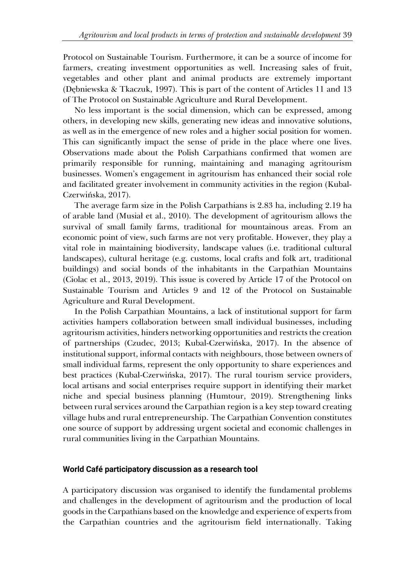Protocol on Sustainable Tourism. Furthermore, it can be a source of income for farmers, creating investment opportunities as well. Increasing sales of fruit, vegetables and other plant and animal products are extremely important (Dębniewska & Tkaczuk, 1997). This is part of the content of Articles 11 and 13 of The Protocol on Sustainable Agriculture and Rural Development.

No less important is the social dimension, which can be expressed, among others, in developing new skills, generating new ideas and innovative solutions, as well as in the emergence of new roles and a higher social position for women. This can significantly impact the sense of pride in the place where one lives. Observations made about the Polish Carpathians confirmed that women are primarily responsible for running, maintaining and managing agritourism businesses. Women's engagement in agritourism has enhanced their social role and facilitated greater involvement in community activities in the region (Kubal-Czerwińska, 2017).

The average farm size in the Polish Carpathians is 2.83 ha, including 2.19 ha of arable land (Musiał et al., 2010). The development of agritourism allows the survival of small family farms, traditional for mountainous areas. From an economic point of view, such farms are not very profitable. However, they play a vital role in maintaining biodiversity, landscape values (i.e. traditional cultural landscapes), cultural heritage (e.g. customs, local crafts and folk art, traditional buildings) and social bonds of the inhabitants in the Carpathian Mountains (Ciolac et al., 2013, 2019). This issue is covered by Article 17 of the Protocol on Sustainable Tourism and Articles 9 and 12 of the Protocol on Sustainable Agriculture and Rural Development.

In the Polish Carpathian Mountains, a lack of institutional support for farm activities hampers collaboration between small individual businesses, including agritourism activities, hinders networking opportunities and restricts the creation of partnerships (Czudec, 2013; Kubal-Czerwińska, 2017). In the absence of institutional support, informal contacts with neighbours, those between owners of small individual farms, represent the only opportunity to share experiences and best practices (Kubal-Czerwińska, 2017). The rural tourism service providers, local artisans and social enterprises require support in identifying their market niche and special business planning (Humtour, 2019). Strengthening links between rural services around the Carpathian region is a key step toward creating village hubs and rural entrepreneurship. The Carpathian Convention constitutes one source of support by addressing urgent societal and economic challenges in rural communities living in the Carpathian Mountains.

### **World Café participatory discussion as a research tool**

A participatory discussion was organised to identify the fundamental problems and challenges in the development of agritourism and the production of local goods in the Carpathians based on the knowledge and experience of experts from the Carpathian countries and the agritourism field internationally. Taking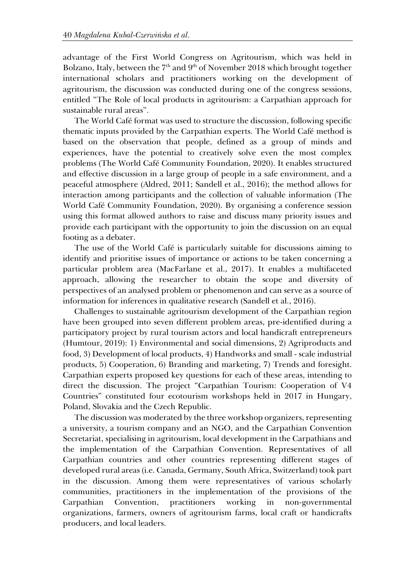advantage of the First World Congress on Agritourism, which was held in Bolzano, Italy, between the  $7<sup>th</sup>$  and  $9<sup>th</sup>$  of November 2018 which brought together international scholars and practitioners working on the development of agritourism, the discussion was conducted during one of the congress sessions, entitled "The Role of local products in agritourism: a Carpathian approach for sustainable rural areas".

The World Café format was used to structure the discussion, following specific thematic inputs provided by the Carpathian experts. The World Café method is based on the observation that people, defined as a group of minds and experiences, have the potential to creatively solve even the most complex problems (The World Café Community Foundation, 2020). It enables structured and effective discussion in a large group of people in a safe environment, and a peaceful atmosphere (Aldred, 2011; Sandell et al., 2016); the method allows for interaction among participants and the collection of valuable information (The World Café Community Foundation, 2020). By organising a conference session using this format allowed authors to raise and discuss many priority issues and provide each participant with the opportunity to join the discussion on an equal footing as a debater.

The use of the World Café is particularly suitable for discussions aiming to identify and prioritise issues of importance or actions to be taken concerning a particular problem area (MacFarlane et al., 2017). It enables a multifaceted approach, allowing the researcher to obtain the scope and diversity of perspectives of an analysed problem or phenomenon and can serve as a source of information for inferences in qualitative research (Sandell et al., 2016).

Challenges to sustainable agritourism development of the Carpathian region have been grouped into seven different problem areas, pre-identified during a participatory project by rural tourism actors and local handicraft entrepreneurs (Humtour, 2019): 1) Environmental and social dimensions, 2) Agriproducts and food, 3) Development of local products, 4) Handworks and small - scale industrial products, 5) Cooperation, 6) Branding and marketing, 7) Trends and foresight. Carpathian experts proposed key questions for each of these areas, intending to direct the discussion. The project "Carpathian Tourism: Cooperation of V4 Countries" constituted four ecotourism workshops held in 2017 in Hungary, Poland, Slovakia and the Czech Republic.

The discussion was moderated by the three workshop organizers, representing a university, a tourism company and an NGO, and the Carpathian Convention Secretariat, specialising in agritourism, local development in the Carpathians and the implementation of the Carpathian Convention. Representatives of all Carpathian countries and other countries representing different stages of developed rural areas (i.e. Canada, Germany, South Africa, Switzerland) took part in the discussion. Among them were representatives of various scholarly communities, practitioners in the implementation of the provisions of the Carpathian Convention, practitioners working in non-governmental organizations, farmers, owners of agritourism farms, local craft or handicrafts producers, and local leaders.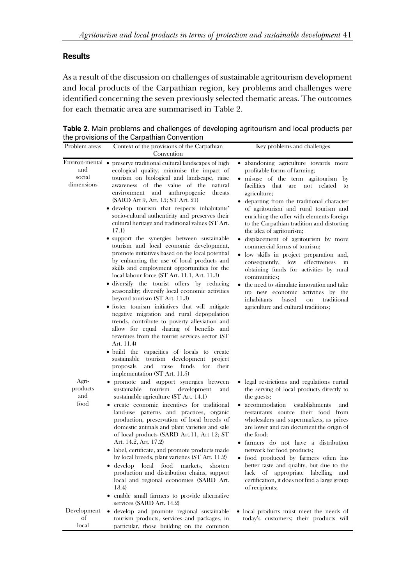### **Results**

local

As a result of the discussion on challenges of sustainable agritourism development and local products of the Carpathian region, key problems and challenges were identified concerning the seven previously selected thematic areas. The outcomes for each thematic area are summarised in Table 2.

|                                  | the provisions of the Carpathian Convention                                                                                                                                                                                                                                                                                                                                                                                                                                                                                                                                                                                                                                                                                                                                                                                                                                                                                                                                                                                                                                                                                                                        |                                                                                                                                                                                                                                                                                                                                                                                                                                                                                                                                                                                                                                                                                                                                                                                                                  |
|----------------------------------|--------------------------------------------------------------------------------------------------------------------------------------------------------------------------------------------------------------------------------------------------------------------------------------------------------------------------------------------------------------------------------------------------------------------------------------------------------------------------------------------------------------------------------------------------------------------------------------------------------------------------------------------------------------------------------------------------------------------------------------------------------------------------------------------------------------------------------------------------------------------------------------------------------------------------------------------------------------------------------------------------------------------------------------------------------------------------------------------------------------------------------------------------------------------|------------------------------------------------------------------------------------------------------------------------------------------------------------------------------------------------------------------------------------------------------------------------------------------------------------------------------------------------------------------------------------------------------------------------------------------------------------------------------------------------------------------------------------------------------------------------------------------------------------------------------------------------------------------------------------------------------------------------------------------------------------------------------------------------------------------|
| Problem areas                    | Context of the provisions of the Carpathian                                                                                                                                                                                                                                                                                                                                                                                                                                                                                                                                                                                                                                                                                                                                                                                                                                                                                                                                                                                                                                                                                                                        | Key problems and challenges                                                                                                                                                                                                                                                                                                                                                                                                                                                                                                                                                                                                                                                                                                                                                                                      |
| and<br>social<br>dimensions      | Convention<br>Environ-mental • preserve traditional cultural landscapes of high<br>ecological quality, minimise the impact of<br>tourism on biological and landscape, raise<br>awareness of the value of the natural<br>environment and<br>anthropogenic<br>threats<br>(SARD Art 9, Art. 15; ST Art. 21)<br>· develop tourism that respects inhabitants'<br>socio-cultural authenticity and preserves their<br>cultural heritage and traditional values (ST Art.<br>17.1)<br>• support the synergies between sustainable<br>tourism and local economic development,<br>promote initiatives based on the local potential<br>by enhancing the use of local products and<br>skills and employment opportunities for the<br>local labour force (ST Art. 11.1, Art. 11.3)<br>• diversify the tourist offers by reducing<br>seasonality; diversify local economic activities<br>beyond tourism (ST Art. 11.3)<br>• foster tourism initiatives that will mitigate<br>negative migration and rural depopulation<br>trends, contribute to poverty alleviation and<br>allow for equal sharing of benefits and<br>revenues from the tourist services sector (ST<br>Art. 11.4) | abandoning agriculture towards more<br>profitable forms of farming;<br>misuse of the term agritourism by<br>$\bullet$<br>facilities that<br>are not<br>related<br>to<br>agriculture;<br>• departing from the traditional character<br>of agritourism and rural tourism and<br>enriching the offer with elements foreign<br>to the Carpathian tradition and distorting<br>the idea of agritourism;<br>displacement of agritourism by more<br>commercial forms of tourism;<br>low skills in project preparation and,<br>$\bullet$<br>consequently,<br>low<br>effectiveness<br>in<br>obtaining funds for activities by rural<br>communities;<br>the need to stimulate innovation and take<br>up new economic activities by the<br>inhabitants<br>based<br>traditional<br>on<br>agriculture and cultural traditions; |
| Agri-<br>products<br>and<br>food | • build the capacities of locals to create<br>sustainable tourism development<br>project<br>proposals<br>and<br>raise<br>funds<br>for<br>their<br>implementation (ST Art. 11.5)<br>• promote and support synergies between<br>tourism<br>development<br>sustainable<br>and<br>sustainable agriculture (ST Art. 14.1)<br>create economic incentives for traditional<br>land-use patterns and practices, organic<br>production, preservation of local breeds of<br>domestic animals and plant varieties and sale<br>of local products (SARD Art.11, Art 12; ST<br>Art. 14.2, Art. 17.2)<br>· label, certificate, and promote products made<br>by local breeds, plant varieties (ST Art. 11.2)<br>• develop local<br>food<br>markets,<br>shorten<br>production and distribution chains, support<br>local and regional economies (SARD Art.<br>13.4)<br>• enable small farmers to provide alternative<br>services (SARD Art. 14.2)                                                                                                                                                                                                                                     | legal restrictions and regulations curtail<br>$\bullet$<br>the serving of local products directly to<br>the guests;<br>accommodation<br>establishments<br>and<br>restaurants source their food from<br>wholesalers and supermarkets, as prices<br>are lower and can document the origin of<br>the food:<br>· farmers do not have a distribution<br>network for food products;<br>· food produced by farmers often has<br>better taste and quality, but due to the<br>lack of appropriate labelling<br>and<br>certification, it does not find a large group<br>of recipients;                                                                                                                                                                                                                                     |
| Development<br>of                | • develop and promote regional sustainable<br>tourism products, services and packages, in                                                                                                                                                                                                                                                                                                                                                                                                                                                                                                                                                                                                                                                                                                                                                                                                                                                                                                                                                                                                                                                                          | • local products must meet the needs of<br>today's customers; their products will                                                                                                                                                                                                                                                                                                                                                                                                                                                                                                                                                                                                                                                                                                                                |

particular, those building on the common

**Table 2**. Main problems and challenges of developing agritourism and local products per the provisions of the Carpathian Convention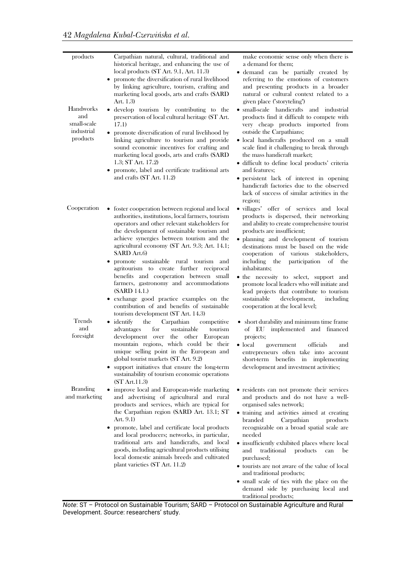| products<br>Handworks<br>and<br>small-scale<br>industrial<br>products | Carpathian natural, cultural, traditional and<br>historical heritage, and enhancing the use of<br>local products (ST Art. 9.1, Art. 11.3)<br>promote the diversification of rural livelihood<br>٠<br>by linking agriculture, tourism, crafting and<br>marketing local goods, arts and crafts (SARD<br>Art. 1.3)<br>• develop tourism by contributing to the<br>preservation of local cultural heritage (ST Art.<br>17.1)<br>promote diversification of rural livelihood by<br>linking agriculture to tourism and provide<br>sound economic incentives for crafting and<br>marketing local goods, arts and crafts (SARD<br>1.3; ST Art. 17.2)<br>promote, label and certificate traditional arts<br>and crafts (ST Art. 11.2) | make economic sense only when there is<br>a demand for them;<br>· demand can be partially created by<br>referring to the emotions of customers<br>and presenting products in a broader<br>natural or cultural context related to a<br>given place ("storyteling")<br>• small-scale handicrafts and industrial<br>products find it difficult to compete with<br>very cheap products imported from<br>outside the Carpathians;<br>• local handicrafts produced on a small<br>scale find it challenging to break through<br>the mass handicraft market;<br>• difficult to define local products' criteria<br>and features;<br>· persistent lack of interest in opening<br>handicraft factories due to the observed<br>lack of success of similar activities in the |
|-----------------------------------------------------------------------|------------------------------------------------------------------------------------------------------------------------------------------------------------------------------------------------------------------------------------------------------------------------------------------------------------------------------------------------------------------------------------------------------------------------------------------------------------------------------------------------------------------------------------------------------------------------------------------------------------------------------------------------------------------------------------------------------------------------------|-----------------------------------------------------------------------------------------------------------------------------------------------------------------------------------------------------------------------------------------------------------------------------------------------------------------------------------------------------------------------------------------------------------------------------------------------------------------------------------------------------------------------------------------------------------------------------------------------------------------------------------------------------------------------------------------------------------------------------------------------------------------|
| Cooperation                                                           | • foster cooperation between regional and local<br>authorities, institutions, local farmers, tourism<br>operators and other relevant stakeholders for<br>the development of sustainable tourism and<br>achieve synergies between tourism and the<br>agricultural economy (ST Art. 9.3; Art. 14.1;<br>SARD Art.6)<br>• promote sustainable rural tourism and<br>agritourism to create further reciprocal<br>benefits and cooperation between small<br>farmers, gastronomy and accommodations<br>(SARD 14.1.)<br>• exchange good practice examples on the<br>contribution of and benefits of sustainable<br>tourism development (ST Art. 14.3)                                                                                 | region;<br>• villages' offer of services and local<br>products is dispersed, their networking<br>and ability to create comprehensive tourist<br>products are insufficient;<br>• planning and development of tourism<br>destinations must be based on the wide<br>cooperation of various stakeholders,<br>including the participation of<br>the<br>inhabitants;<br>• the necessity to select, support and<br>promote local leaders who will initiate and<br>lead projects that contribute to tourism<br>sustainable<br>development,<br>including<br>cooperation at the local level;                                                                                                                                                                              |
| Trends<br>and<br>foresight                                            | $\bullet$ identify<br>the<br>Carpathian<br>competitive<br>for<br>sustainable<br>advantages<br>tourism<br>development over the other European<br>mountain regions, which could be their<br>unique selling point in the European and<br>global tourist markets (ST Art. 9.2)<br>• support initiatives that ensure the long-term<br>sustainability of tourism economic operations<br>(ST Art.11.3)                                                                                                                                                                                                                                                                                                                              | • short durability and minimum time frame<br>of EU implemented and financed<br>projects;<br>$\bullet$ local<br>officials<br>government<br>and<br>entrepreneurs often take into account<br>short-term benefits in implementing<br>development and investment activities;                                                                                                                                                                                                                                                                                                                                                                                                                                                                                         |
| <b>Branding</b><br>and marketing                                      | • improve local and European-wide marketing<br>and advertising of agricultural and rural<br>products and services, which are typical for<br>the Carpathian region (SARD Art. 13.1; ST<br>Art. 9.1)<br>promote, label and certificate local products<br>٠<br>and local producers; networks, in particular,<br>traditional arts and handicrafts, and local<br>goods, including agricultural products utilising<br>local domestic animals breeds and cultivated<br>plant varieties (ST Art. 11.2)                                                                                                                                                                                                                               | • residents can not promote their services<br>and products and do not have a well-<br>organised sales network;<br>• training and activities aimed at creating<br>branded<br>Carpathian<br>products<br>recognizable on a broad spatial scale are<br>needed<br>• insufficiently exhibited places where local<br>traditional<br>products<br>and<br>can<br>be<br>purchased;<br>• tourists are not aware of the value of local<br>and traditional products;                                                                                                                                                                                                                                                                                                          |

• small scale of ties with the place on the demand side by purchasing local and traditional products;

*Note*: ST – Protocol on Sustainable Tourism; SARD – Protocol on Sustainable Agriculture and Rural Development. *Source*: researchers' study.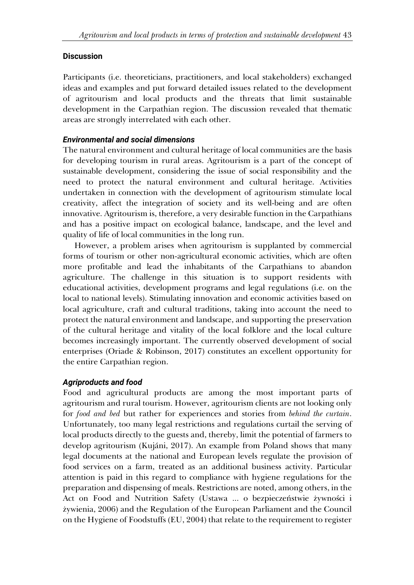# **Discussion**

Participants (i.e. theoreticians, practitioners, and local stakeholders) exchanged ideas and examples and put forward detailed issues related to the development of agritourism and local products and the threats that limit sustainable development in the Carpathian region. The discussion revealed that thematic areas are strongly interrelated with each other.

# *Environmental and social dimensions*

The natural environment and cultural heritage of local communities are the basis for developing tourism in rural areas. Agritourism is a part of the concept of sustainable development, considering the issue of social responsibility and the need to protect the natural environment and cultural heritage. Activities undertaken in connection with the development of agritourism stimulate local creativity, affect the integration of society and its well-being and are often innovative. Agritourism is, therefore, a very desirable function in the Carpathians and has a positive impact on ecological balance, landscape, and the level and quality of life of local communities in the long run.

However, a problem arises when agritourism is supplanted by commercial forms of tourism or other non-agricultural economic activities, which are often more profitable and lead the inhabitants of the Carpathians to abandon agriculture. The challenge in this situation is to support residents with educational activities, development programs and legal regulations (i.e. on the local to national levels). Stimulating innovation and economic activities based on local agriculture, craft and cultural traditions, taking into account the need to protect the natural environment and landscape, and supporting the preservation of the cultural heritage and vitality of the local folklore and the local culture becomes increasingly important. The currently observed development of social enterprises (Oriade & Robinson, 2017) constitutes an excellent opportunity for the entire Carpathian region.

# *Agriproducts and food*

Food and agricultural products are among the most important parts of agritourism and rural tourism. However, agritourism clients are not looking only for *food and bed* but rather for experiences and stories from *behind the curtain*. Unfortunately, too many legal restrictions and regulations curtail the serving of local products directly to the guests and, thereby, limit the potential of farmers to develop agritourism (Kujáni, 2017). An example from Poland shows that many legal documents at the national and European levels regulate the provision of food services on a farm, treated as an additional business activity. Particular attention is paid in this regard to compliance with hygiene regulations for the preparation and dispensing of meals. Restrictions are noted, among others, in the Act on Food and Nutrition Safety (Ustawa ... o bezpieczeństwie żywności i żywienia, 2006) and the Regulation of the European Parliament and the Council on the Hygiene of Foodstuffs (EU, 2004) that relate to the requirement to register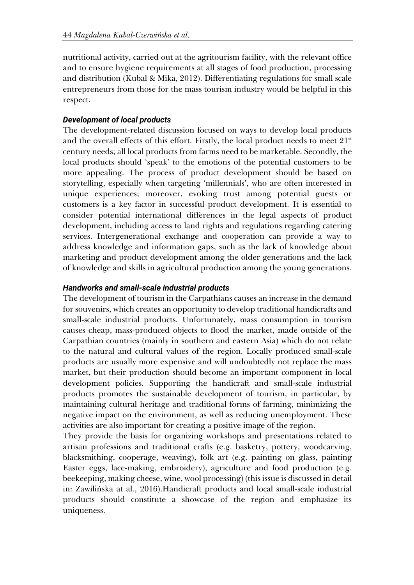nutritional activity, carried out at the agritourism facility, with the relevant office and to ensure hygiene requirements at all stages of food production, processing and distribution (Kubal & Mika, 2012). Differentiating regulations for small scale entrepreneurs from those for the mass tourism industry would be helpful in this respect.

# *Development of local products*

The development-related discussion focused on ways to develop local products and the overall effects of this effort. Firstly, the local product needs to meet  $21<sup>st</sup>$ century needs; all local products from farms need to be marketable. Secondly, the local products should 'speak' to the emotions of the potential customers to be more appealing. The process of product development should be based on storytelling, especially when targeting 'millennials', who are often interested in unique experiences; moreover, evoking trust among potential guests or customers is a key factor in successful product development. It is essential to consider potential international differences in the legal aspects of product development, including access to land rights and regulations regarding catering services. Intergenerational exchange and cooperation can provide a way to address knowledge and information gaps, such as the lack of knowledge about marketing and product development among the older generations and the lack of knowledge and skills in agricultural production among the young generations.

# *Handworks and small-scale industrial products*

The development of tourism in the Carpathians causes an increase in the demand for souvenirs, which creates an opportunity to develop traditional handicrafts and small-scale industrial products. Unfortunately, mass consumption in tourism causes cheap, mass-produced objects to flood the market, made outside of the Carpathian countries (mainly in southern and eastern Asia) which do not relate to the natural and cultural values of the region. Locally produced small-scale products are usually more expensive and will undoubtedly not replace the mass market, but their production should become an important component in local development policies. Supporting the handicraft and small-scale industrial products promotes the sustainable development of tourism, in particular, by maintaining cultural heritage and traditional forms of farming, minimizing the negative impact on the environment, as well as reducing unemployment. These activities are also important for creating a positive image of the region.

They provide the basis for organizing workshops and presentations related to artisan professions and traditional crafts (e.g. basketry, pottery, woodcarving, blacksmithing, cooperage, weaving), folk art (e.g. painting on glass, painting Easter eggs, lace-making, embroidery), agriculture and food production (e.g. beekeeping, making cheese, wine, wool processing) (this issue is discussed in detail in: Zawilińska at al., 2016).Handicraft products and local small-scale industrial products should constitute a showcase of the region and emphasize its uniqueness.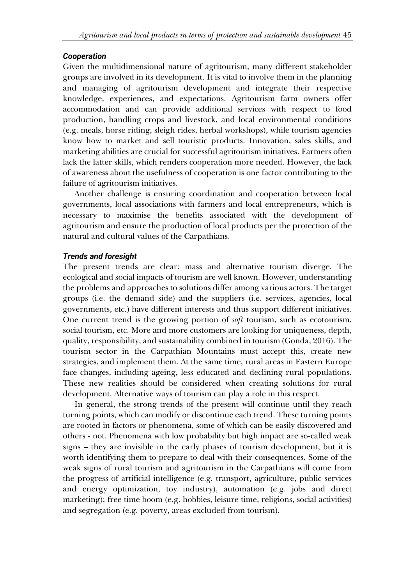# *Cooperation*

Given the multidimensional nature of agritourism, many different stakeholder groups are involved in its development. It is vital to involve them in the planning and managing of agritourism development and integrate their respective knowledge, experiences, and expectations. Agritourism farm owners offer accommodation and can provide additional services with respect to food production, handling crops and livestock, and local environmental conditions (e.g. meals, horse riding, sleigh rides, herbal workshops), while tourism agencies know how to market and sell touristic products. Innovation, sales skills, and marketing abilities are crucial for successful agritourism initiatives. Farmers often lack the latter skills, which renders cooperation more needed. However, the lack of awareness about the usefulness of cooperation is one factor contributing to the failure of agritourism initiatives.

Another challenge is ensuring coordination and cooperation between local governments, local associations with farmers and local entrepreneurs, which is necessary to maximise the benefits associated with the development of agritourism and ensure the production of local products per the protection of the natural and cultural values of the Carpathians.

# *Trends and foresight*

The present trends are clear: mass and alternative tourism diverge. The ecological and social impacts of tourism are well known. However, understanding the problems and approaches to solutions differ among various actors. The target groups (i.e. the demand side) and the suppliers (i.e. services, agencies, local governments, etc.) have different interests and thus support different initiatives. One current trend is the growing portion of *soft* tourism, such as ecotourism, social tourism, etc. More and more customers are looking for uniqueness, depth, quality, responsibility, and sustainability combined in tourism (Gonda, 2016). The tourism sector in the Carpathian Mountains must accept this, create new strategies, and implement them. At the same time, rural areas in Eastern Europe face changes, including ageing, less educated and declining rural populations. These new realities should be considered when creating solutions for rural development. Alternative ways of tourism can play a role in this respect.

In general, the strong trends of the present will continue until they reach turning points, which can modify or discontinue each trend. These turning points are rooted in factors or phenomena, some of which can be easily discovered and others - not. Phenomena with low probability but high impact are so-called weak signs – they are invisible in the early phases of tourism development, but it is worth identifying them to prepare to deal with their consequences. Some of the weak signs of rural tourism and agritourism in the Carpathians will come from the progress of artificial intelligence (e.g. transport, agriculture, public services and energy optimization, toy industry), automation (e.g. jobs and direct marketing); free time boom (e.g. hobbies, leisure time, religions, social activities) and segregation (e.g. poverty, areas excluded from tourism).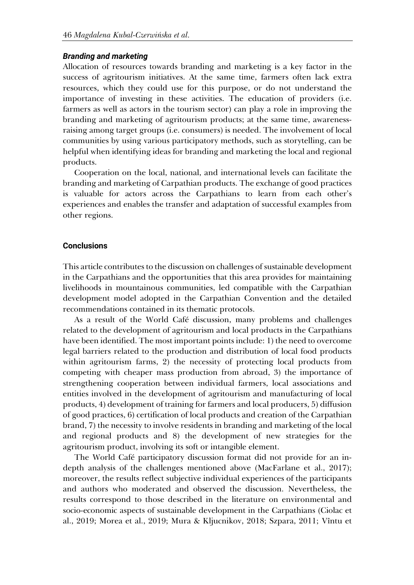#### *Branding and marketing*

Allocation of resources towards branding and marketing is a key factor in the success of agritourism initiatives. At the same time, farmers often lack extra resources, which they could use for this purpose, or do not understand the importance of investing in these activities. The education of providers (i.e. farmers as well as actors in the tourism sector) can play a role in improving the branding and marketing of agritourism products; at the same time, awarenessraising among target groups (i.e. consumers) is needed. The involvement of local communities by using various participatory methods, such as storytelling, can be helpful when identifying ideas for branding and marketing the local and regional products.

Cooperation on the local, national, and international levels can facilitate the branding and marketing of Carpathian products. The exchange of good practices is valuable for actors across the Carpathians to learn from each other's experiences and enables the transfer and adaptation of successful examples from other regions.

#### **Conclusions**

This article contributes to the discussion on challenges of sustainable development in the Carpathians and the opportunities that this area provides for maintaining livelihoods in mountainous communities, led compatible with the Carpathian development model adopted in the Carpathian Convention and the detailed recommendations contained in its thematic protocols.

As a result of the World Café discussion, many problems and challenges related to the development of agritourism and local products in the Carpathians have been identified. The most important points include: 1) the need to overcome legal barriers related to the production and distribution of local food products within agritourism farms, 2) the necessity of protecting local products from competing with cheaper mass production from abroad, 3) the importance of strengthening cooperation between individual farmers, local associations and entities involved in the development of agritourism and manufacturing of local products, 4) development of training for farmers and local producers, 5) diffusion of good practices, 6) certification of local products and creation of the Carpathian brand, 7) the necessity to involve residents in branding and marketing of the local and regional products and 8) the development of new strategies for the agritourism product, involving its soft or intangible element.

The World Café participatory discussion format did not provide for an indepth analysis of the challenges mentioned above (MacFarlane et al., 2017); moreover, the results reflect subjective individual experiences of the participants and authors who moderated and observed the discussion. Nevertheless, the results correspond to those described in the literature on environmental and socio-economic aspects of sustainable development in the Carpathians (Ciolac et al., 2019; Morea et al., 2019; Mura & Kljucnikov, 2018; Szpara, 2011; Vîntu et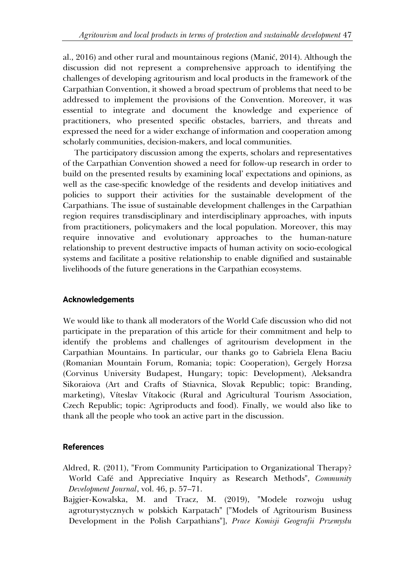al., 2016) and other rural and mountainous regions (Manić, 2014). Although the discussion did not represent a comprehensive approach to identifying the challenges of developing agritourism and local products in the framework of the Carpathian Convention, it showed a broad spectrum of problems that need to be addressed to implement the provisions of the Convention. Moreover, it was essential to integrate and document the knowledge and experience of practitioners, who presented specific obstacles, barriers, and threats and expressed the need for a wider exchange of information and cooperation among scholarly communities, decision-makers, and local communities.

The participatory discussion among the experts, scholars and representatives of the Carpathian Convention showed a need for follow-up research in order to build on the presented results by examining local' expectations and opinions, as well as the case-specific knowledge of the residents and develop initiatives and policies to support their activities for the sustainable development of the Carpathians. The issue of sustainable development challenges in the Carpathian region requires transdisciplinary and interdisciplinary approaches, with inputs from practitioners, policymakers and the local population. Moreover, this may require innovative and evolutionary approaches to the human-nature relationship to prevent destructive impacts of human activity on socio-ecological systems and facilitate a positive relationship to enable dignified and sustainable livelihoods of the future generations in the Carpathian ecosystems.

### **Acknowledgements**

We would like to thank all moderators of the World Cafe discussion who did not participate in the preparation of this article for their commitment and help to identify the problems and challenges of agritourism development in the Carpathian Mountains. In particular, our thanks go to Gabriela Elena Baciu (Romanian Mountain Forum, Romania; topic: Cooperation), Gergely Horzsa (Corvinus University Budapest, Hungary; topic: Development), Aleksandra Sikoraiova (Art and Crafts of Stiavnica, Slovak Republic; topic: Branding, marketing), Víteslav Vítakocic (Rural and Agricultural Tourism Association, Czech Republic; topic: Agriproducts and food). Finally, we would also like to thank all the people who took an active part in the discussion.

# **References**

- Aldred, R. (2011), "From Community Participation to Organizational Therapy? World Café and Appreciative Inquiry as Research Methods", *Community Development Journal*, vol. 46, p. 57–71.
- Bajgier-Kowalska, M. and Tracz, M. (2019), "Modele rozwoju usług agroturystycznych w polskich Karpatach" ["Models of Agritourism Business Development in the Polish Carpathians"], *Prace Komisji Geografii Przemysłu*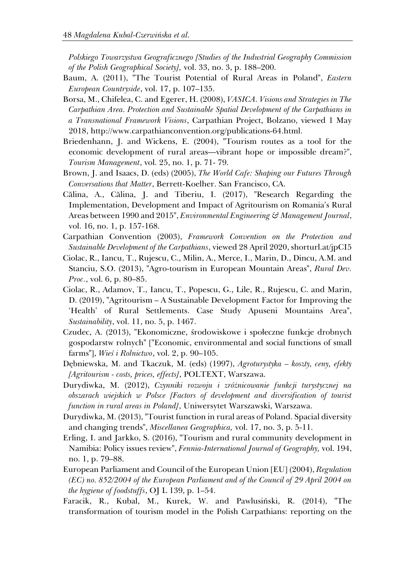*Polskiego Towarzystwa Geograficznego [Studies of the Industrial Geography Commission of the Polish Geographical Society],* vol. 33, no. 3, p. 188–200.

- Baum, A. (2011), "The Tourist Potential of Rural Areas in Poland", *Eastern European Countryside*, vol. 17, p. 107–135.
- Borsa, M., Chifelea, C. and Egerer, H. (2008), *VASICA. Visions and Strategies in The Carpathian Area. Protection and Sustainable Spatial Development of the Carpathians in a Transnational Framework Visions*, Carpathian Project, Bolzano, viewed 1 May 2018, http://www.carpathianconvention.org/publications-64.html.
- Briedenhann, J. and Wickens, E. (2004), "Tourism routes as a tool for the economic development of rural areas—vibrant hope or impossible dream?", *Tourism Management*, vol. 25, no. 1, p. 71- 79.
- Brown, J. and Isaacs, D. (eds) (2005), *The World Cafe: Shaping our Futures Through Conversations that Matter*, Berrett-Koelher. San Francisco, CA.
- Călina, A., Călina, J. and Tiberiu, I. (2017), "Research Regarding the Implementation, Development and Impact of Agritourism on Romania's Rural Areas between 1990 and 2015", *Environmental Engineering & Management Journal*, vol. 16, no. 1, p. 157-168.
- Carpathian Convention (2003), *Framework Convention on the Protection and Sustainable Development of the Carpathians*, viewed 28 April 2020, shorturl.at/jpCI5
- Ciolac, R., Iancu, T., Rujescu, C., Milin, A., Merce, I., Marin, D., Dincu, A.M. and Stanciu, S.O. (2013), "Agro-tourism in European Mountain Areas", *Rural Dev. Proc.*, vol. 6, p. 80–85.
- Ciolac, R., Adamov, T., Iancu, T., Popescu, G., Lile, R., Rujescu, C. and Marin, D. (2019), "Agritourism – A Sustainable Development Factor for Improving the 'Health' of Rural Settlements. Case Study Apuseni Mountains Area", *Sustainability*, vol. 11, no. 5, p. 1467.
- Czudec, A. (2013), "Ekonomiczne, środowiskowe i społeczne funkcje drobnych gospodarstw rolnych" ["Economic, environmental and social functions of small farms"], *Wieś i Rolnictwo*, vol. 2, p. 90–105.
- Dębniewska, M. and Tkaczuk, M. (eds) (1997), *Agroturystyka – koszty, ceny, efekty [Agritourism - costs, prices, effects]*, POLTEXT, Warszawa.
- Durydiwka, M. (2012), *Czynniki rozwoju i zróżnicowanie funkcji turystycznej na obszarach wiejskich w Polsce [Factors of development and diversification of tourist function in rural areas in Poland]*, Uniwersytet Warszawski, Warszawa.
- Durydiwka, M. (2013), "Tourist function in rural areas of Poland. Spacial diversity and changing trends", *Miscellanea Geographica,* vol. 17, no. 3, p. 5-11.
- Erling, I. and Jarkko, S. (2016), "Tourism and rural community development in Namibia: Policy issues review", *Fennia-International Journal of Geography,* vol. 194, no. 1, p. 79–88.
- European Parliament and Council of the European Union [EU] (2004), *Regulation (EC) no. 852/2004 of the European Parliament and of the Council of 29 April 2004 on the hygiene of foodstuffs*, OJ L 139, p. 1–54.
- Faracik, R., Kubal, M., Kurek, W. and Pawlusiński, R. (2014), "The transformation of tourism model in the Polish Carpathians: reporting on the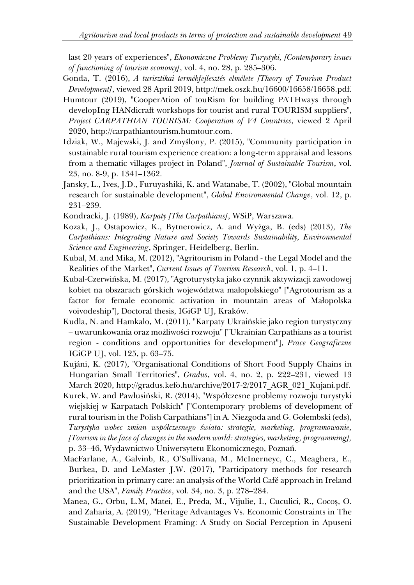last 20 years of experiences", *Ekonomiczne Problemy Turystyki, [Contemporary issues of functioning of tourism economy]*, vol. 4, no. 28, p. 285–306.

- Gonda, T. (2016), *A turisztikai termékfejlesztés elmélete [Theory of Tourism Product Development]*, viewed 28 April 2019, http://mek.oszk.hu/16600/16658/16658.pdf.
- Humtour (2019), "CooperAtion of touRism for building PATHways through developIng HANdicraft workshops for tourist and rural TOURISM suppliers", *Project CARPATHIAN TOURISM: Cooperation of V4 Countries*, viewed 2 April 2020, http://carpathiantourism.humtour.com.
- Idziak, W., Majewski, J. and Zmyślony, P. (2015), "Community participation in sustainable rural tourism experience creation: a long-term appraisal and lessons from a thematic villages project in Poland", *Journal of Sustainable Tourism*, vol. 23, no. 8-9, p. 1341–1362.
- Jansky, L., Ives, J.D., Furuyashiki, K. and Watanabe, T. (2002), "Global mountain research for sustainable development", *Global Environmental Change*, vol. 12, p. 231–239.
- Kondracki, J. (1989), *Karpaty [The Carpathians]*, WSiP, Warszawa.
- Kozak, J., Ostapowicz, K., Bytnerowicz, A. and Wyżga, B. (eds) (2013), *The Carpathians: Integrating Nature and Society Towards Sustainability, Environmental Science and Engineering*, Springer, Heidelberg, Berlin.
- Kubal, M. and Mika, M. (2012), "Agritourism in Poland the Legal Model and the Realities of the Market", *Current Issues of Tourism Research*, vol. 1, p. 4–11.
- Kubal-Czerwińska, M. (2017), "Agroturystyka jako czynnik aktywizacji zawodowej kobiet na obszarach górskich województwa małopolskiego" ["Agrotourism as a factor for female economic activation in mountain areas of Małopolska voivodeship"], Doctoral thesis, IGiGP UJ, Kraków.
- Kudla, N. and Hamkalo, M. (2011), "Karpaty Ukraińskie jako region turystyczny – uwarunkowania oraz możliwości rozwoju" ["Ukrainian Carpathians as a tourist region - conditions and opportunities for development"], *Prace Geograficzne* IGiGP UJ, vol. 125, p. 63–75.
- Kujáni, K. (2017), "Organisational Conditions of Short Food Supply Chains in Hungarian Small Territories", *Gradus*, vol. 4, no. 2, p. 222–231, viewed 13 March 2020, http://gradus.kefo.hu/archive/2017-2/2017\_AGR\_021\_Kujani.pdf.
- Kurek, W. and Pawlusiński, R. (2014), "Współczesne problemy rozwoju turystyki wiejskiej w Karpatach Polskich" ["Contemporary problems of development of rural tourism in the Polish Carpathians"] in A. Niezgoda and G. Gołembski (eds), *Turystyka wobec zmian współczesnego świata: strategie, marketing, programowanie, [Tourism in the face of changes in the modern world: strategies, marketing, programming],* p. 33–46, Wydawnictwo Uniwersytetu Ekonomicznego, Poznań.
- MacFarlane, A., Galvinb, R., O'Sullivana, M., McInerneyc, C., Meaghera, E., Burkea, D. and LeMaster J.W. (2017), "Participatory methods for research prioritization in primary care: an analysis of the World Café approach in Ireland and the USA", *Family Practice*, vol. 34, no. 3, p. 278–284.
- Manea, G., Orbu, L.M, Matei, E., Preda, M., Vijulie, I., Cuculici, R., Cocoș, O. and Zaharia, A. (2019), "Heritage Advantages Vs. Economic Constraints in The Sustainable Development Framing: A Study on Social Perception in Apuseni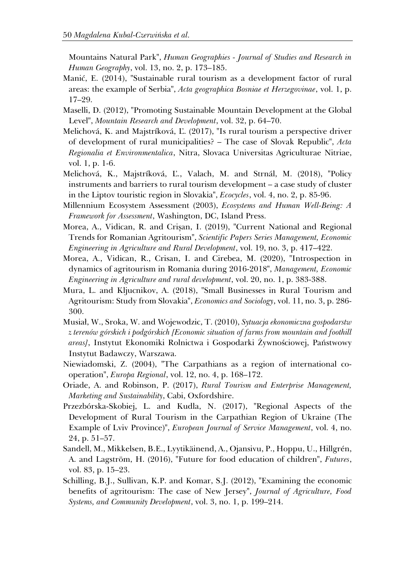Mountains Natural Park", *Human Geographies - Journal of Studies and Research in Human Geography*, vol. 13, no. 2, p. 173–185.

- Manić, E. (2014), "Sustainable rural tourism as a development factor of rural areas: the example of Serbia", *Acta geographica Bosniae et Herzegovinae*, vol. 1, p. 17–29.
- Maselli, D. (2012), "Promoting Sustainable Mountain Development at the Global Level", *Mountain Research and Development*, vol. 32, p. 64–70.
- Melichová, K. and Majstríková, Ľ. (2017), "Is rural tourism a perspective driver of development of rural municipalities? – The case of Slovak Republic", *Acta Regionalia et Environmentalica*, Nitra, Slovaca Universitas Agriculturae Nitriae, vol. 1, p. 1-6.
- Melichová, K., Majstríková, Ľ., Valach, M. and Strnál, M. (2018), "Policy instruments and barriers to rural tourism development – a case study of cluster in the Liptov touristic region in Slovakia", *Ecocycles*, vol. 4, no. 2, p. 85-96.
- Millennium Ecosystem Assessment (2003), *Ecosystems and Human Well-Being: A Framework for Assessment*, Washington, DC, Island Press.
- Morea, A., Vidican, R. and Crişan, I. (2019), "Current National and Regional Trends for Romanian Agritourism", *Scientific Papers Series Management, Economic Engineering in Agriculture and Rural Development*, vol. 19, no. 3, p. 417–422.
- Morea, A., Vidican, R., Crisan, I. and Cirebea, M. (2020), "Introspection in dynamics of agritourism in Romania during 2016-2018", *Management, Economic Engineering in Agriculture and rural development*, vol. 20, no. 1, p. 383-388.
- Mura, L. and Kljucnikov, A. (2018), "Small Businesses in Rural Tourism and Agritourism: Study from Slovakia", *Economics and Sociology*, vol. 11, no. 3, p. 286- 300.
- Musiał, W., Sroka, W. and Wojewodzic, T. (2010), *Sytuacja ekonomiczna gospodarstw z terenów górskich i podgórskich [Economic situation of farms from mountain and foothill areas]*, Instytut Ekonomiki Rolnictwa i Gospodarki Żywnościowej, Państwowy Instytut Badawczy, Warszawa.
- Niewiadomski, Z. (2004), "The Carpathians as a region of international cooperation", *Europa Regional*, vol. 12, no. 4, p. 168–172.
- Oriade, A. and Robinson, P. (2017), *Rural Tourism and Enterprise Management, Marketing and Sustainability*, Cabi, Oxfordshire.
- Przezbórska-Skobiej, L. and Kudla, N. (2017), "Regional Aspects of the Development of Rural Tourism in the Carpathian Region of Ukraine (The Example of Lviv Province)", *European Journal of Service Management*, vol. 4, no. 24, p. 51–57.
- Sandell, M., Mikkelsen, B.E., Lyytikäinend, A., Ojansivu, P., Hoppu, U., Hillgrén, A. and Lagström, H. (2016), "Future for food education of children", *Futures*, vol. 83, p. 15–23.
- Schilling, B.J., Sullivan, K.P. and Komar, S.J. (2012), "Examining the economic benefits of agritourism: The case of New Jersey", *Journal of Agriculture, Food Systems, and Community Development*, vol. 3, no. 1, p. 199–214.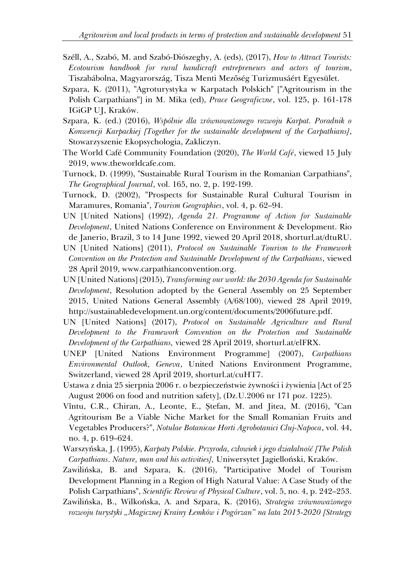- Széll, A., Szabó, M. and Szabó-Diószeghy, A. (eds), (2017), *How to Attract Tourists: Ecotourism handbook for rural handicraft entrepreneurs and actors of tourism*, Tiszabábolna, Magyarország, Tisza Menti Mezőség Turizmusáért Egyesület.
- Szpara, K. (2011), "Agroturystyka w Karpatach Polskich" ["Agritourism in the Polish Carpathians"] in M. Mika (ed), *Prace Geograficzne*, vol. 125, p. 161-178 IGiGP UJ, Kraków.
- Szpara, K. (ed.) (2016), *Wspólnie dla zrównoważonego rozwoju Karpat. Poradnik o Konwencji Karpackiej [Together for the sustainable development of the Carpathians]*, Stowarzyszenie Ekopsychologia, Zakliczyn.
- The World Café Community Foundation (2020), *The World Café*, viewed 15 July 2019, www.theworldcafe.com.
- Turnock, D. (1999), "Sustainable Rural Tourism in the Romanian Carpathians", *The Geographical Journal*, vol. 165, no. 2, p. 192-199.
- Turnock, D. (2002), "Prospects for Sustainable Rural Cultural Tourism in Maramures, Romania", *Tourism Geographies*, vol. 4, p. 62–94.
- UN [United Nations] (1992), *Agenda 21. Programme of Action for Sustainable Development*, United Nations Conference on Environment & Development. Rio de Janerio, Brazil, 3 to 14 June 1992, viewed 20 April 2018, shorturl.at/dtuRU.
- UN [United Nations] (2011), *Protocol on Sustainable Tourism to the Framework Convention on the Protection and Sustainable Development of the Carpathians*, viewed 28 April 2019, www.carpathianconvention.org.
- UN [United Nations] (2015), *Transforming our world: the 2030 Agenda for Sustainable Development*, Resolution adopted by the General Assembly on 25 September 2015, United Nations General Assembly (A/68/100), viewed 28 April 2019, http://sustainabledevelopment.un.org/content/documents/2006future.pdf.
- UN [United Nations] (2017), *Protocol on Sustainable Agriculture and Rural Development to the Framework Convention on the Protection and Sustainable Development of the Carpathians,* viewed 28 April 2019, shorturl.at/elFRX.
- UNEP [United Nations Environment Programme] (2007), *Carpathians Environmental Outlook, Geneva*, United Nations Environment Programme, Switzerland, viewed 28 April 2019, shorturl.at/cuHT7.
- Ustawa z dnia 25 sierpnia 2006 r. o bezpieczeństwie żywności i żywienia [Act of 25 August 2006 on food and nutrition safety], (Dz.U.2006 nr 171 poz. 1225).
- Vîntu, C.R., Chiran, A., Leonte, E., Ștefan, M. and Jitea, M. (2016), "Can Agritourism Be a Viable Niche Market for the Small Romanian Fruits and Vegetables Producers?", *Notulae Botanicae Horti Agrobotanici Cluj-Napoca*, vol. 44, no. 4, p. 619–624.
- Warszyńska, J. (1995), *Karpaty Polskie. Przyroda, człowiek i jego działalność [The Polish Carpathians. Nature, man and his activities],* Uniwersytet Jagielloński, Kraków.
- Zawilińska, B. and Szpara, K. (2016), "Participative Model of Tourism Development Planning in a Region of High Natural Value: A Case Study of the Polish Carpathians", *Scientific Review of Physical Culture*, vol. 5, no. 4, p. 242–253.
- Zawilińska, B., Wilkońska, A. and Szpara, K. (2016), *Strategia zrównoważonego rozwoju turystyki "Magicznej Krainy Łemków i Pogórzan" na lata 2015-2020 [Strategy*